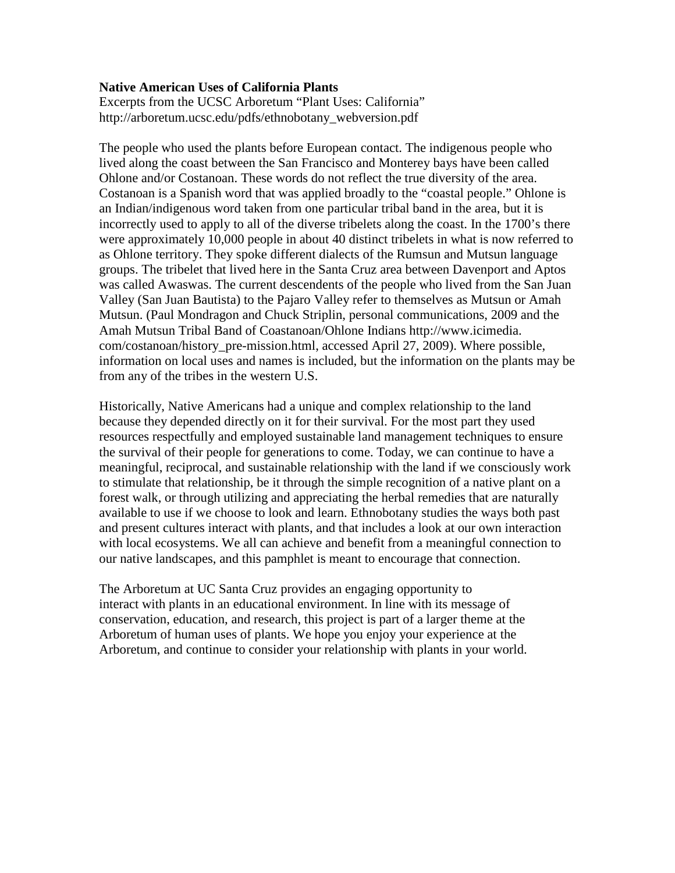## **Native American Uses of California Plants**

Excerpts from the UCSC Arboretum "Plant Uses: California" http://arboretum.ucsc.edu/pdfs/ethnobotany\_webversion.pdf

The people who used the plants before European contact. The indigenous people who lived along the coast between the San Francisco and Monterey bays have been called Ohlone and/or Costanoan. These words do not reflect the true diversity of the area. Costanoan is a Spanish word that was applied broadly to the "coastal people." Ohlone is an Indian/indigenous word taken from one particular tribal band in the area, but it is incorrectly used to apply to all of the diverse tribelets along the coast. In the 1700's there were approximately 10,000 people in about 40 distinct tribelets in what is now referred to as Ohlone territory. They spoke different dialects of the Rumsun and Mutsun language groups. The tribelet that lived here in the Santa Cruz area between Davenport and Aptos was called Awaswas. The current descendents of the people who lived from the San Juan Valley (San Juan Bautista) to the Pajaro Valley refer to themselves as Mutsun or Amah Mutsun. (Paul Mondragon and Chuck Striplin, personal communications, 2009 and the Amah Mutsun Tribal Band of Coastanoan/Ohlone Indians http://www.icimedia. com/costanoan/history\_pre-mission.html, accessed April 27, 2009). Where possible, information on local uses and names is included, but the information on the plants may be from any of the tribes in the western U.S.

Historically, Native Americans had a unique and complex relationship to the land because they depended directly on it for their survival. For the most part they used resources respectfully and employed sustainable land management techniques to ensure the survival of their people for generations to come. Today, we can continue to have a meaningful, reciprocal, and sustainable relationship with the land if we consciously work to stimulate that relationship, be it through the simple recognition of a native plant on a forest walk, or through utilizing and appreciating the herbal remedies that are naturally available to use if we choose to look and learn. Ethnobotany studies the ways both past and present cultures interact with plants, and that includes a look at our own interaction with local ecosystems. We all can achieve and benefit from a meaningful connection to our native landscapes, and this pamphlet is meant to encourage that connection.

The Arboretum at UC Santa Cruz provides an engaging opportunity to interact with plants in an educational environment. In line with its message of conservation, education, and research, this project is part of a larger theme at the Arboretum of human uses of plants. We hope you enjoy your experience at the Arboretum, and continue to consider your relationship with plants in your world.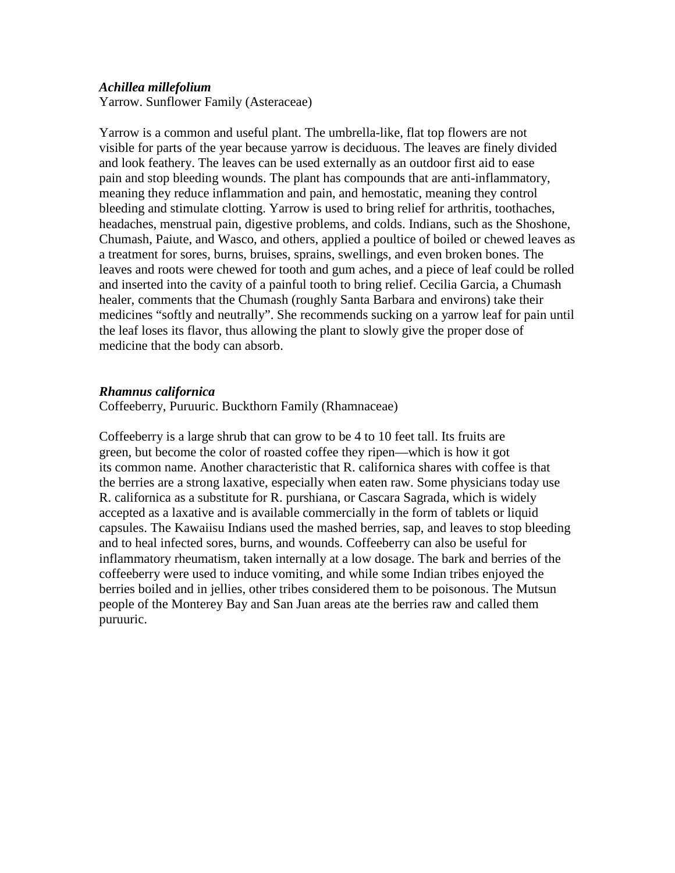## *Achillea millefolium*

Yarrow. Sunflower Family (Asteraceae)

Yarrow is a common and useful plant. The umbrella-like, flat top flowers are not visible for parts of the year because yarrow is deciduous. The leaves are finely divided and look feathery. The leaves can be used externally as an outdoor first aid to ease pain and stop bleeding wounds. The plant has compounds that are anti-inflammatory, meaning they reduce inflammation and pain, and hemostatic, meaning they control bleeding and stimulate clotting. Yarrow is used to bring relief for arthritis, toothaches, headaches, menstrual pain, digestive problems, and colds. Indians, such as the Shoshone, Chumash, Paiute, and Wasco, and others, applied a poultice of boiled or chewed leaves as a treatment for sores, burns, bruises, sprains, swellings, and even broken bones. The leaves and roots were chewed for tooth and gum aches, and a piece of leaf could be rolled and inserted into the cavity of a painful tooth to bring relief. Cecilia Garcia, a Chumash healer, comments that the Chumash (roughly Santa Barbara and environs) take their medicines "softly and neutrally". She recommends sucking on a yarrow leaf for pain until the leaf loses its flavor, thus allowing the plant to slowly give the proper dose of medicine that the body can absorb.

# *Rhamnus californica*

Coffeeberry, Puruuric. Buckthorn Family (Rhamnaceae)

Coffeeberry is a large shrub that can grow to be 4 to 10 feet tall. Its fruits are green, but become the color of roasted coffee they ripen—which is how it got its common name. Another characteristic that R. californica shares with coffee is that the berries are a strong laxative, especially when eaten raw. Some physicians today use R. californica as a substitute for R. purshiana, or Cascara Sagrada, which is widely accepted as a laxative and is available commercially in the form of tablets or liquid capsules. The Kawaiisu Indians used the mashed berries, sap, and leaves to stop bleeding and to heal infected sores, burns, and wounds. Coffeeberry can also be useful for inflammatory rheumatism, taken internally at a low dosage. The bark and berries of the coffeeberry were used to induce vomiting, and while some Indian tribes enjoyed the berries boiled and in jellies, other tribes considered them to be poisonous. The Mutsun people of the Monterey Bay and San Juan areas ate the berries raw and called them puruuric.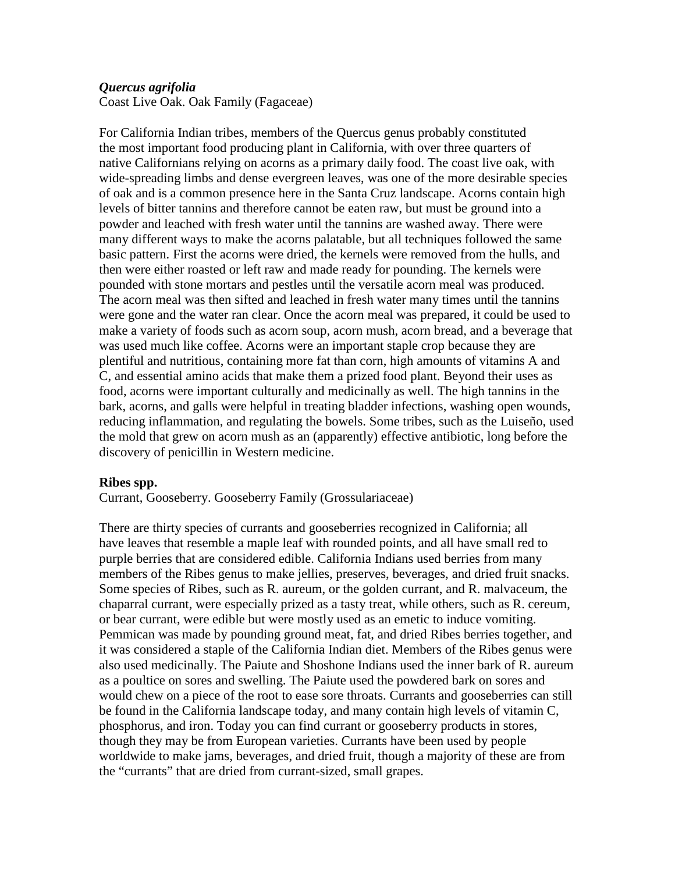# *Quercus agrifolia*

Coast Live Oak. Oak Family (Fagaceae)

For California Indian tribes, members of the Quercus genus probably constituted the most important food producing plant in California, with over three quarters of native Californians relying on acorns as a primary daily food. The coast live oak, with wide-spreading limbs and dense evergreen leaves, was one of the more desirable species of oak and is a common presence here in the Santa Cruz landscape. Acorns contain high levels of bitter tannins and therefore cannot be eaten raw, but must be ground into a powder and leached with fresh water until the tannins are washed away. There were many different ways to make the acorns palatable, but all techniques followed the same basic pattern. First the acorns were dried, the kernels were removed from the hulls, and then were either roasted or left raw and made ready for pounding. The kernels were pounded with stone mortars and pestles until the versatile acorn meal was produced. The acorn meal was then sifted and leached in fresh water many times until the tannins were gone and the water ran clear. Once the acorn meal was prepared, it could be used to make a variety of foods such as acorn soup, acorn mush, acorn bread, and a beverage that was used much like coffee. Acorns were an important staple crop because they are plentiful and nutritious, containing more fat than corn, high amounts of vitamins A and C, and essential amino acids that make them a prized food plant. Beyond their uses as food, acorns were important culturally and medicinally as well. The high tannins in the bark, acorns, and galls were helpful in treating bladder infections, washing open wounds, reducing inflammation, and regulating the bowels. Some tribes, such as the Luiseño, used the mold that grew on acorn mush as an (apparently) effective antibiotic, long before the discovery of penicillin in Western medicine.

# **Ribes spp.**

Currant, Gooseberry. Gooseberry Family (Grossulariaceae)

There are thirty species of currants and gooseberries recognized in California; all have leaves that resemble a maple leaf with rounded points, and all have small red to purple berries that are considered edible. California Indians used berries from many members of the Ribes genus to make jellies, preserves, beverages, and dried fruit snacks. Some species of Ribes, such as R. aureum, or the golden currant, and R. malvaceum, the chaparral currant, were especially prized as a tasty treat, while others, such as R. cereum, or bear currant, were edible but were mostly used as an emetic to induce vomiting. Pemmican was made by pounding ground meat, fat, and dried Ribes berries together, and it was considered a staple of the California Indian diet. Members of the Ribes genus were also used medicinally. The Paiute and Shoshone Indians used the inner bark of R. aureum as a poultice on sores and swelling. The Paiute used the powdered bark on sores and would chew on a piece of the root to ease sore throats. Currants and gooseberries can still be found in the California landscape today, and many contain high levels of vitamin C, phosphorus, and iron. Today you can find currant or gooseberry products in stores, though they may be from European varieties. Currants have been used by people worldwide to make jams, beverages, and dried fruit, though a majority of these are from the "currants" that are dried from currant-sized, small grapes.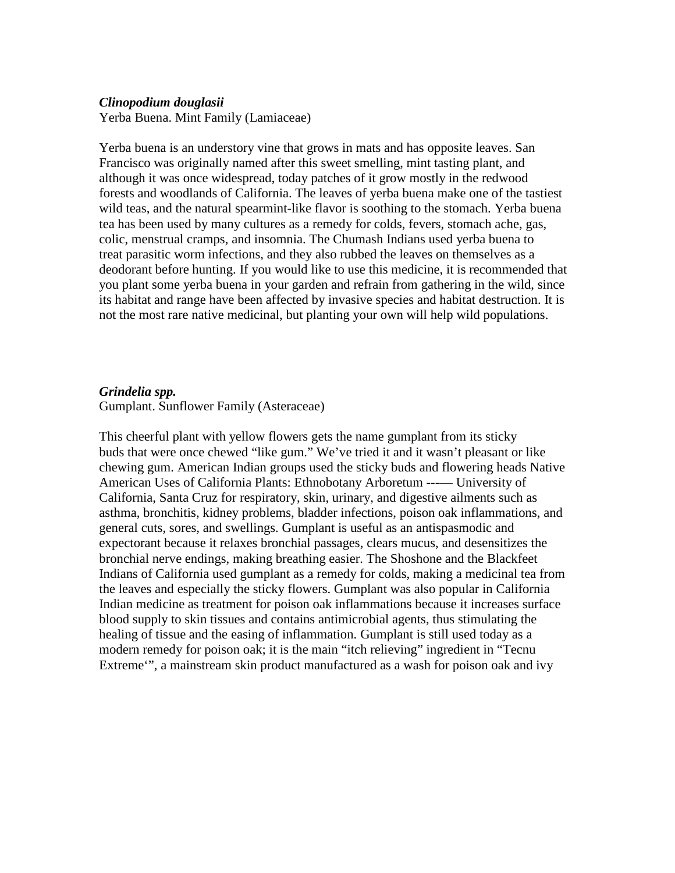#### *Clinopodium douglasii*

Yerba Buena. Mint Family (Lamiaceae)

Yerba buena is an understory vine that grows in mats and has opposite leaves. San Francisco was originally named after this sweet smelling, mint tasting plant, and although it was once widespread, today patches of it grow mostly in the redwood forests and woodlands of California. The leaves of yerba buena make one of the tastiest wild teas, and the natural spearmint-like flavor is soothing to the stomach. Yerba buena tea has been used by many cultures as a remedy for colds, fevers, stomach ache, gas, colic, menstrual cramps, and insomnia. The Chumash Indians used yerba buena to treat parasitic worm infections, and they also rubbed the leaves on themselves as a deodorant before hunting. If you would like to use this medicine, it is recommended that you plant some yerba buena in your garden and refrain from gathering in the wild, since its habitat and range have been affected by invasive species and habitat destruction. It is not the most rare native medicinal, but planting your own will help wild populations.

#### *Grindelia spp.*

Gumplant. Sunflower Family (Asteraceae)

This cheerful plant with yellow flowers gets the name gumplant from its sticky buds that were once chewed "like gum." We've tried it and it wasn't pleasant or like chewing gum. American Indian groups used the sticky buds and flowering heads Native American Uses of California Plants: Ethnobotany Arboretum ---— University of California, Santa Cruz for respiratory, skin, urinary, and digestive ailments such as asthma, bronchitis, kidney problems, bladder infections, poison oak inflammations, and general cuts, sores, and swellings. Gumplant is useful as an antispasmodic and expectorant because it relaxes bronchial passages, clears mucus, and desensitizes the bronchial nerve endings, making breathing easier. The Shoshone and the Blackfeet Indians of California used gumplant as a remedy for colds, making a medicinal tea from the leaves and especially the sticky flowers. Gumplant was also popular in California Indian medicine as treatment for poison oak inflammations because it increases surface blood supply to skin tissues and contains antimicrobial agents, thus stimulating the healing of tissue and the easing of inflammation. Gumplant is still used today as a modern remedy for poison oak; it is the main "itch relieving" ingredient in "Tecnu Extreme'", a mainstream skin product manufactured as a wash for poison oak and ivy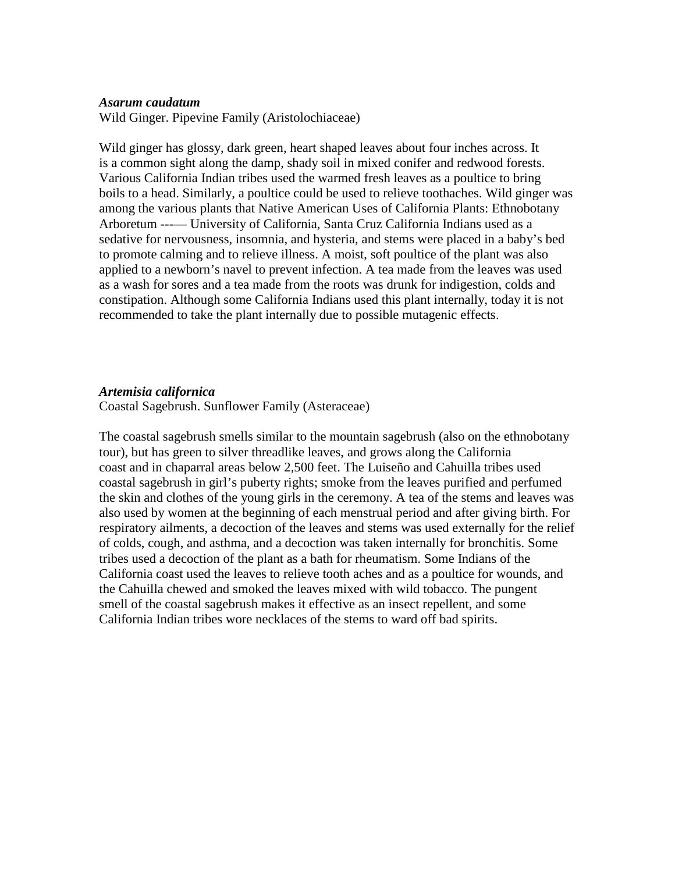### *Asarum caudatum*

Wild Ginger. Pipevine Family (Aristolochiaceae)

Wild ginger has glossy, dark green, heart shaped leaves about four inches across. It is a common sight along the damp, shady soil in mixed conifer and redwood forests. Various California Indian tribes used the warmed fresh leaves as a poultice to bring boils to a head. Similarly, a poultice could be used to relieve toothaches. Wild ginger was among the various plants that Native American Uses of California Plants: Ethnobotany Arboretum ---— University of California, Santa Cruz California Indians used as a sedative for nervousness, insomnia, and hysteria, and stems were placed in a baby's bed to promote calming and to relieve illness. A moist, soft poultice of the plant was also applied to a newborn's navel to prevent infection. A tea made from the leaves was used as a wash for sores and a tea made from the roots was drunk for indigestion, colds and constipation. Although some California Indians used this plant internally, today it is not recommended to take the plant internally due to possible mutagenic effects.

### *Artemisia californica*

Coastal Sagebrush. Sunflower Family (Asteraceae)

The coastal sagebrush smells similar to the mountain sagebrush (also on the ethnobotany tour), but has green to silver threadlike leaves, and grows along the California coast and in chaparral areas below 2,500 feet. The Luiseño and Cahuilla tribes used coastal sagebrush in girl's puberty rights; smoke from the leaves purified and perfumed the skin and clothes of the young girls in the ceremony. A tea of the stems and leaves was also used by women at the beginning of each menstrual period and after giving birth. For respiratory ailments, a decoction of the leaves and stems was used externally for the relief of colds, cough, and asthma, and a decoction was taken internally for bronchitis. Some tribes used a decoction of the plant as a bath for rheumatism. Some Indians of the California coast used the leaves to relieve tooth aches and as a poultice for wounds, and the Cahuilla chewed and smoked the leaves mixed with wild tobacco. The pungent smell of the coastal sagebrush makes it effective as an insect repellent, and some California Indian tribes wore necklaces of the stems to ward off bad spirits.